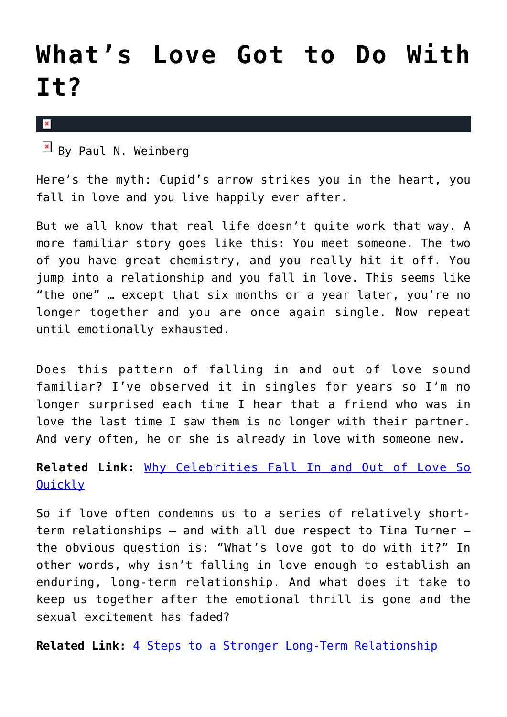## **[What's Love Got to Do With](https://cupidspulse.com/40734/whats-love-got-to-do-with-it/) [It?](https://cupidspulse.com/40734/whats-love-got-to-do-with-it/)**

 $\pmb{\times}$ 

 $\mathbb{F}$  By Paul N. Weinberg

Here's the myth: Cupid's arrow strikes you in the heart, you fall in love and you live happily ever after.

But we all know that real life doesn't quite work that way. A more familiar story goes like this: You meet someone. The two of you have great chemistry, and you really hit it off. You jump into a relationship and you fall in love. This seems like "the one" … except that six months or a year later, you're no longer together and you are once again single. Now repeat until emotionally exhausted.

Does this pattern of falling in and out of love sound familiar? I've observed it in singles for years so I'm no longer surprised each time I hear that a friend who was in love the last time I saw them is no longer with their partner. And very often, he or she is already in love with someone new.

## **Related Link:** [Why Celebrities Fall In and Out of Love So](http://cupidspulse.com/why-celebrities-fall-in-out-love-quickly-whirlwind-romance-heartbreak-divorce/) [Quickly](http://cupidspulse.com/why-celebrities-fall-in-out-love-quickly-whirlwind-romance-heartbreak-divorce/)

So if love often condemns us to a series of relatively shortterm relationships — and with all due respect to Tina Turner the obvious question is: "What's love got to do with it?" In other words, why isn't falling in love enough to establish an enduring, long-term relationship. And what does it take to keep us together after the emotional thrill is gone and the sexual excitement has faded?

**Related Link:** [4 Steps to a Stronger Long-Term Relationship](http://cupidspulse.com/4-steps-strong-long-term-relationship/)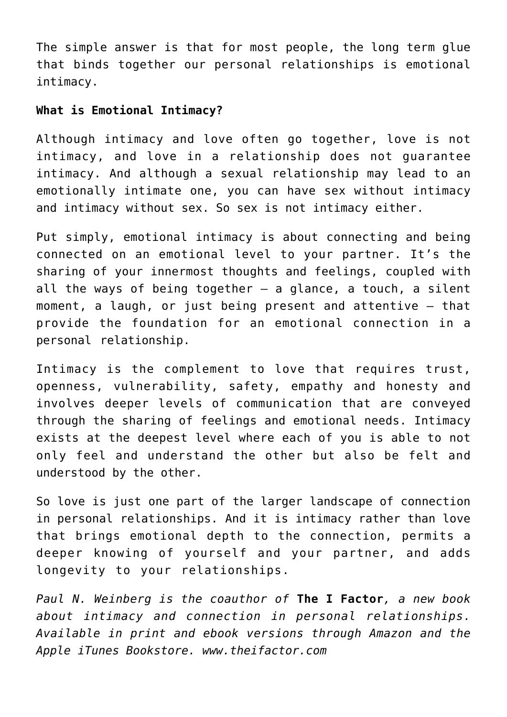The simple answer is that for most people, the long term glue that binds together our personal relationships is emotional intimacy.

## **What is Emotional Intimacy?**

Although intimacy and love often go together, love is not intimacy, and love in a relationship does not guarantee intimacy. And although a sexual relationship may lead to an emotionally intimate one, you can have sex without intimacy and intimacy without sex. So sex is not intimacy either.

Put simply, emotional intimacy is about connecting and being connected on an emotional level to your partner. It's the sharing of your innermost thoughts and feelings, coupled with all the ways of being together  $-$  a glance, a touch, a silent moment, a laugh, or just being present and attentive — that provide the foundation for an emotional connection in a personal relationship.

Intimacy is the complement to love that requires trust, openness, vulnerability, safety, empathy and honesty and involves deeper levels of communication that are conveyed through the sharing of feelings and emotional needs. Intimacy exists at the deepest level where each of you is able to not only feel and understand the other but also be felt and understood by the other.

So love is just one part of the larger landscape of connection in personal relationships. And it is intimacy rather than love that brings emotional depth to the connection, permits a deeper knowing of yourself and your partner, and adds longevity to your relationships.

*Paul N. Weinberg is the coauthor of* **The I Factor***, a new book about intimacy and connection in personal relationships. Available in print and ebook versions through Amazon and the Apple iTunes Bookstore. www.theifactor.com*